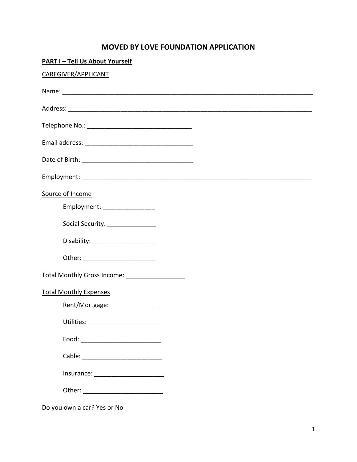## **MOVED BY LOVE FOUNDATION APPLICATION**

| <b>PART I-Tell Us About Yourself</b>            |  |
|-------------------------------------------------|--|
| CAREGIVER/APPLICANT                             |  |
|                                                 |  |
|                                                 |  |
|                                                 |  |
|                                                 |  |
|                                                 |  |
|                                                 |  |
| Source of Income                                |  |
| Employment: ________________                    |  |
| Social Security: ________________               |  |
| Disability: ______________________              |  |
| Other: _________________________                |  |
| Total Monthly Gross Income: ___________________ |  |
| <b>Total Monthly Expenses</b>                   |  |
| Rent/Mortgage: ________________                 |  |
|                                                 |  |
| Food: ___________________________               |  |
|                                                 |  |
| Insurance: _________________________            |  |
| Other: ____________________________             |  |
|                                                 |  |

Do you own a car? Yes or No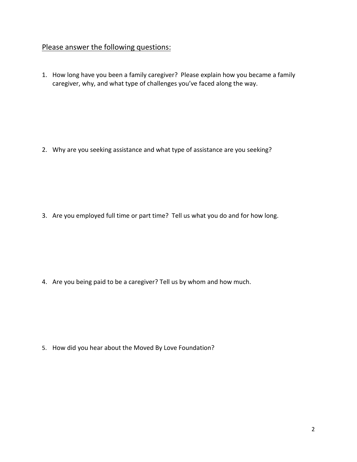## Please answer the following questions:

1. How long have you been a family caregiver? Please explain how you became a family caregiver, why, and what type of challenges you've faced along the way.

2. Why are you seeking assistance and what type of assistance are you seeking?

3. Are you employed full time or part time? Tell us what you do and for how long.

4. Are you being paid to be a caregiver? Tell us by whom and how much.

5. How did you hear about the Moved By Love Foundation?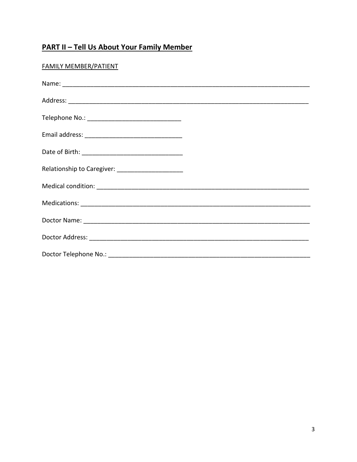## **PART II - Tell Us About Your Family Member**

| <b>FAMILY MEMBER/PATIENT</b> |  |
|------------------------------|--|
|                              |  |
| Nomo:                        |  |

| Relationship to Caregiver: _______________________ |  |
|----------------------------------------------------|--|
|                                                    |  |
|                                                    |  |
|                                                    |  |
|                                                    |  |
|                                                    |  |